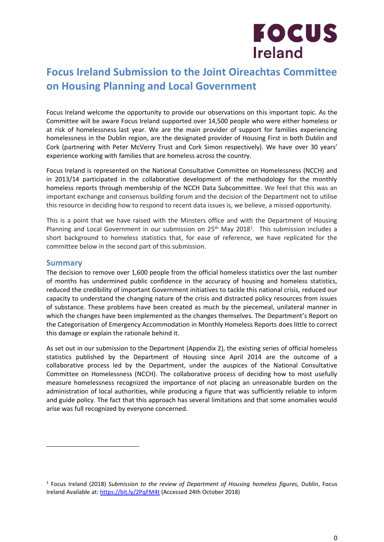

## **Focus Ireland Submission to the Joint Oireachtas Committee on Housing Planning and Local Government**

Focus Ireland welcome the opportunity to provide our observations on this important topic. As the Committee will be aware Focus Ireland supported over 14,500 people who were either homeless or at risk of homelessness last year. We are the main provider of support for families experiencing homelessness in the Dublin region, are the designated provider of Housing First in both Dublin and Cork (partnering with Peter McVerry Trust and Cork Simon respectively). We have over 30 years' experience working with families that are homeless across the country.

Focus Ireland is represented on the National Consultative Committee on Homelessness (NCCH) and in 2013/14 participated in the collaborative development of the methodology for the monthly homeless reports through membership of the NCCH Data Subcommittee. We feel that this was an important exchange and consensus building forum and the decision of the Department not to utilise this resource in deciding how to respond to recent data issues is, we believe, a missed opportunity.

This is a point that we have raised with the Minsters office and with the Department of Housing Planning and Local Government in our submission on  $25<sup>th</sup>$  May  $2018<sup>1</sup>$ . This submission includes a short background to homeless statistics that, for ease of reference, we have replicated for the committee below in the second part of this submission.

#### **Summary**

 $\overline{a}$ 

The decision to remove over 1,600 people from the official homeless statistics over the last number of months has undermined public confidence in the accuracy of housing and homeless statistics, reduced the credibility of important Government initiatives to tackle this national crisis, reduced our capacity to understand the changing nature of the crisis and distracted policy resources from issues of substance. These problems have been created as much by the piecemeal, unilateral manner in which the changes have been implemented as the changes themselves. The Department's Report on the Categorisation of Emergency Accommodation in Monthly Homeless Reports does little to correct this damage or explain the rationale behind it.

As set out in our submission to the Department (Appendix 2), the existing series of official homeless statistics published by the Department of Housing since April 2014 are the outcome of a collaborative process led by the Department, under the auspices of the National Consultative Committee on Homelessness (NCCH). The collaborative process of deciding how to most usefully measure homelessness recognized the importance of not placing an unreasonable burden on the administration of local authorities, while producing a figure that was sufficiently reliable to inform and guide policy. The fact that this approach has several limitations and that some anomalies would arise was full recognized by everyone concerned.

<sup>1</sup> Focus Ireland (2018) *Submission to the review of Department of Housing homeless figures,* Dublin, Focus Ireland Available at:<https://bit.ly/2PqFM4t> (Accessed 24th October 2018)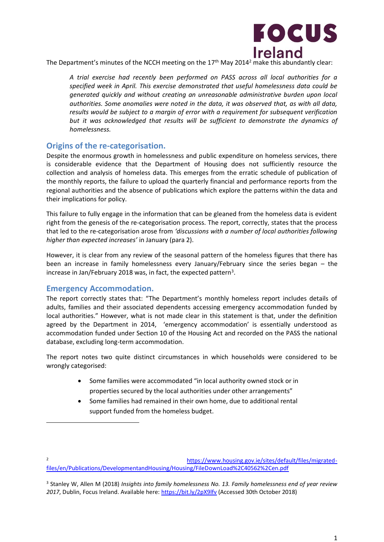

The Department's minutes of the NCCH meeting on the  $17<sup>th</sup>$  May 2014<sup>2</sup> make this abundantly clear:

*A trial exercise had recently been performed on PASS across all local authorities for a specified week in April. This exercise demonstrated that useful homelessness data could be generated quickly and without creating an unreasonable administrative burden upon local authorities. Some anomalies were noted in the data, it was observed that, as with all data, results would be subject to a margin of error with a requirement for subsequent verification but it was acknowledged that results will be sufficient to demonstrate the dynamics of homelessness.*

## **Origins of the re-categorisation.**

Despite the enormous growth in homelessness and public expenditure on homeless services, there is considerable evidence that the Department of Housing does not sufficiently resource the collection and analysis of homeless data. This emerges from the erratic schedule of publication of the monthly reports, the failure to upload the quarterly financial and performance reports from the regional authorities and the absence of publications which explore the patterns within the data and their implications for policy.

This failure to fully engage in the information that can be gleaned from the homeless data is evident right from the genesis of the re-categorisation process. The report, correctly, states that the process that led to the re-categorisation arose from *'discussions with a number of local authorities following higher than expected increases'* in January (para 2).

However, it is clear from any review of the seasonal pattern of the homeless figures that there has been an increase in family homelessness every January/February since the series began – the increase in Jan/February 2018 was, in fact, the expected pattern<sup>3</sup>.

## **Emergency Accommodation.**

The report correctly states that: "The Department's monthly homeless report includes details of adults, families and their associated dependents accessing emergency accommodation funded by local authorities." However, what is not made clear in this statement is that, under the definition agreed by the Department in 2014, 'emergency accommodation' is essentially understood as accommodation funded under Section 10 of the Housing Act and recorded on the PASS the national database, excluding long-term accommodation.

The report notes two quite distinct circumstances in which households were considered to be wrongly categorised:

- Some families were accommodated "in local authority owned stock or in properties secured by the local authorities under other arrangements"
- Some families had remained in their own home, due to additional rental support funded from the homeless budget.

 $\overline{a}$ 

<sup>2</sup> [https://www.housing.gov.ie/sites/default/files/migrated](https://www.housing.gov.ie/sites/default/files/migrated-files/en/Publications/DevelopmentandHousing/Housing/FileDownLoad%2C40562%2Cen.pdf)[files/en/Publications/DevelopmentandHousing/Housing/FileDownLoad%2C40562%2Cen.pdf](https://www.housing.gov.ie/sites/default/files/migrated-files/en/Publications/DevelopmentandHousing/Housing/FileDownLoad%2C40562%2Cen.pdf)

<sup>3</sup> Stanley W, Allen M (2018) *Insights into family homelessness No. 13. Family homelessness end of year review*  2017, Dublin, Focus Ireland. Available here:<https://bit.ly/2pX9lfv> (Accessed 30th October 2018)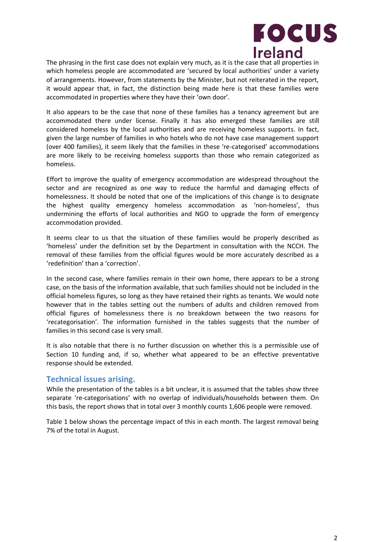

The phrasing in the first case does not explain very much, as it is the case that all properties in which homeless people are accommodated are 'secured by local authorities' under a variety of arrangements. However, from statements by the Minister, but not reiterated in the report, it would appear that, in fact, the distinction being made here is that these families were accommodated in properties where they have their 'own door'.

It also appears to be the case that none of these families has a tenancy agreement but are accommodated there under license. Finally it has also emerged these families are still considered homeless by the local authorities and are receiving homeless supports. In fact, given the large number of families in who hotels who do not have case management support (over 400 families), it seem likely that the families in these 're-categorised' accommodations are more likely to be receiving homeless supports than those who remain categorized as homeless.

Effort to improve the quality of emergency accommodation are widespread throughout the sector and are recognized as one way to reduce the harmful and damaging effects of homelessness. It should be noted that one of the implications of this change is to designate the highest quality emergency homeless accommodation as 'non-homeless', thus undermining the efforts of local authorities and NGO to upgrade the form of emergency accommodation provided.

It seems clear to us that the situation of these families would be properly described as 'homeless' under the definition set by the Department in consultation with the NCCH. The removal of these families from the official figures would be more accurately described as a 'redefinition' than a 'correction'.

In the second case, where families remain in their own home, there appears to be a strong case, on the basis of the information available, that such families should not be included in the official homeless figures, so long as they have retained their rights as tenants. We would note however that in the tables setting out the numbers of adults and children removed from official figures of homelessness there is no breakdown between the two reasons for 'recategorisation'. The information furnished in the tables suggests that the number of families in this second case is very small.

It is also notable that there is no further discussion on whether this is a permissible use of Section 10 funding and, if so, whether what appeared to be an effective preventative response should be extended.

#### **Technical issues arising.**

While the presentation of the tables is a bit unclear, it is assumed that the tables show three separate 're-categorisations' with no overlap of individuals/households between them. On this basis, the report shows that in total over 3 monthly counts 1,606 people were removed.

Table 1 below shows the percentage impact of this in each month. The largest removal being 7% of the total in August.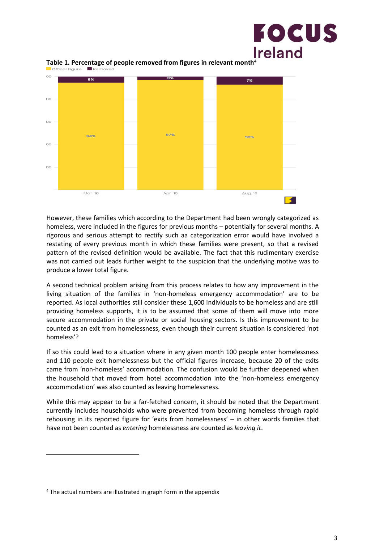

**Table 1. Percentage of people removed from figures in relevant month**<br>**A** officel Flaure **E** Removed



However, these families which according to the Department had been wrongly categorized as homeless, were included in the figures for previous months – potentially for several months. A rigorous and serious attempt to rectify such aa categorization error would have involved a restating of every previous month in which these families were present, so that a revised pattern of the revised definition would be available. The fact that this rudimentary exercise was not carried out leads further weight to the suspicion that the underlying motive was to produce a lower total figure.

A second technical problem arising from this process relates to how any improvement in the living situation of the families in 'non-homeless emergency accommodation' are to be reported. As local authorities still consider these 1,600 individuals to be homeless and are still providing homeless supports, it is to be assumed that some of them will move into more secure accommodation in the private or social housing sectors. Is this improvement to be counted as an exit from homelessness, even though their current situation is considered 'not homeless'?

If so this could lead to a situation where in any given month 100 people enter homelessness and 110 people exit homelessness but the official figures increase, because 20 of the exits came from 'non-homeless' accommodation. The confusion would be further deepened when the household that moved from hotel accommodation into the 'non-homeless emergency accommodation' was also counted as leaving homelessness.

While this may appear to be a far-fetched concern, it should be noted that the Department currently includes households who were prevented from becoming homeless through rapid rehousing in its reported figure for 'exits from homelessness' – in other words families that have not been counted as *entering* homelessness are counted as *leaving it*.

l

<sup>4</sup> The actual numbers are illustrated in graph form in the appendix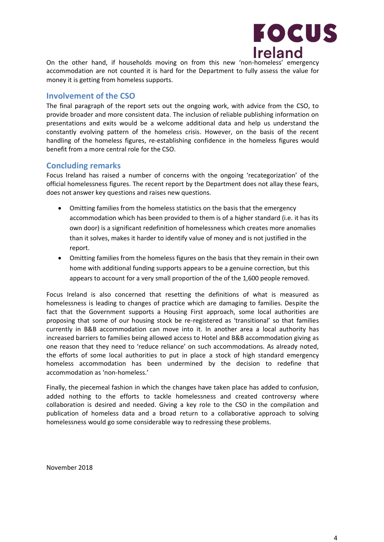

On the other hand, if households moving on from this new 'non-homeless' emergency accommodation are not counted it is hard for the Department to fully assess the value for money it is getting from homeless supports.

## **Involvement of the CSO**

The final paragraph of the report sets out the ongoing work, with advice from the CSO, to provide broader and more consistent data. The inclusion of reliable publishing information on presentations and exits would be a welcome additional data and help us understand the constantly evolving pattern of the homeless crisis. However, on the basis of the recent handling of the homeless figures, re-establishing confidence in the homeless figures would benefit from a more central role for the CSO.

## **Concluding remarks**

Focus Ireland has raised a number of concerns with the ongoing 'recategorization' of the official homelessness figures. The recent report by the Department does not allay these fears, does not answer key questions and raises new questions.

- Omitting families from the homeless statistics on the basis that the emergency accommodation which has been provided to them is of a higher standard (i.e. it has its own door) is a significant redefinition of homelessness which creates more anomalies than it solves, makes it harder to identify value of money and is not justified in the report.
- Omitting families from the homeless figures on the basis that they remain in their own home with additional funding supports appears to be a genuine correction, but this appears to account for a very small proportion of the of the 1,600 people removed.

Focus Ireland is also concerned that resetting the definitions of what is measured as homelessness is leading to changes of practice which are damaging to families. Despite the fact that the Government supports a Housing First approach, some local authorities are proposing that some of our housing stock be re-registered as 'transitional' so that families currently in B&B accommodation can move into it. In another area a local authority has increased barriers to families being allowed access to Hotel and B&B accommodation giving as one reason that they need to 'reduce reliance' on such accommodations. As already noted, the efforts of some local authorities to put in place a stock of high standard emergency homeless accommodation has been undermined by the decision to redefine that accommodation as 'non-homeless.'

Finally, the piecemeal fashion in which the changes have taken place has added to confusion, added nothing to the efforts to tackle homelessness and created controversy where collaboration is desired and needed. Giving a key role to the CSO in the compilation and publication of homeless data and a broad return to a collaborative approach to solving homelessness would go some considerable way to redressing these problems.

November 2018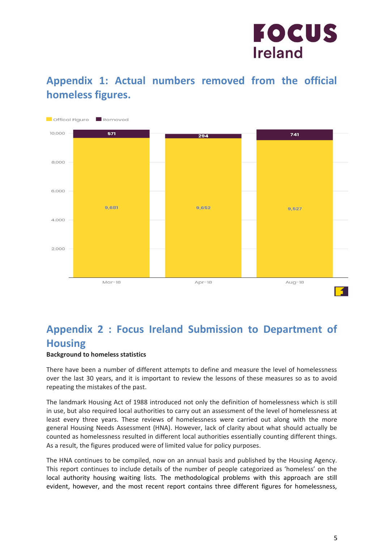

**Appendix 1: Actual numbers removed from the official homeless figures.**



# **Appendix 2 : Focus Ireland Submission to Department of Housing**

#### **Background to homeless statistics**

There have been a number of different attempts to define and measure the level of homelessness over the last 30 years, and it is important to review the lessons of these measures so as to avoid repeating the mistakes of the past.

The landmark Housing Act of 1988 introduced not only the definition of homelessness which is still in use, but also required local authorities to carry out an assessment of the level of homelessness at least every three years. These reviews of homelessness were carried out along with the more general Housing Needs Assessment (HNA). However, lack of clarity about what should actually be counted as homelessness resulted in different local authorities essentially counting different things. As a result, the figures produced were of limited value for policy purposes.

The HNA continues to be compiled, now on an annual basis and published by the Housing Agency. This report continues to include details of the number of people categorized as 'homeless' on the local authority housing waiting lists. The methodological problems with this approach are still evident, however, and the most recent report contains three different figures for homelessness,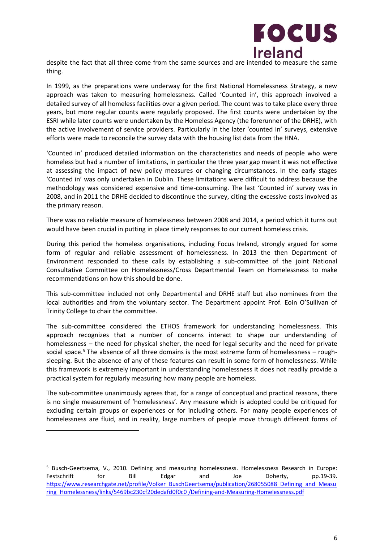

despite the fact that all three come from the same sources and are intended to measure the same thing.

In 1999, as the preparations were underway for the first National Homelessness Strategy, a new approach was taken to measuring homelessness. Called 'Counted in', this approach involved a detailed survey of all homeless facilities over a given period. The count was to take place every three years, but more regular counts were regularly proposed. The first counts were undertaken by the ESRI while later counts were undertaken by the Homeless Agency (the forerunner of the DRHE), with the active involvement of service providers. Particularly in the later 'counted in' surveys, extensive efforts were made to reconcile the survey data with the housing list data from the HNA.

'Counted in' produced detailed information on the characteristics and needs of people who were homeless but had a number of limitations, in particular the three year gap meant it was not effective at assessing the impact of new policy measures or changing circumstances. In the early stages 'Counted in' was only undertaken in Dublin. These limitations were difficult to address because the methodology was considered expensive and time-consuming. The last 'Counted in' survey was in 2008, and in 2011 the DRHE decided to discontinue the survey, citing the excessive costs involved as the primary reason.

There was no reliable measure of homelessness between 2008 and 2014, a period which it turns out would have been crucial in putting in place timely responses to our current homeless crisis.

During this period the homeless organisations, including Focus Ireland, strongly argued for some form of regular and reliable assessment of homelessness. In 2013 the then Department of Environment responded to these calls by establishing a sub-committee of the joint National Consultative Committee on Homelessness/Cross Departmental Team on Homelessness to make recommendations on how this should be done.

This sub-committee included not only Departmental and DRHE staff but also nominees from the local authorities and from the voluntary sector. The Department appoint Prof. Eoin O'Sullivan of Trinity College to chair the committee.

The sub-committee considered the ETHOS framework for understanding homelessness. This approach recognizes that a number of concerns interact to shape our understanding of homelessness – the need for physical shelter, the need for legal security and the need for private social space.<sup>5</sup> The absence of all three domains is the most extreme form of homelessness – roughsleeping. But the absence of any of these features can result in some form of homelessness. While this framework is extremely important in understanding homelessness it does not readily provide a practical system for regularly measuring how many people are homeless.

The sub-committee unanimously agrees that, for a range of conceptual and practical reasons, there is no single measurement of 'homelessness'. Any measure which is adopted could be critiqued for excluding certain groups or experiences or for including others. For many people experiences of homelessness are fluid, and in reality, large numbers of people move through different forms of

l

<sup>5</sup> Busch-Geertsema, V., 2010. Defining and measuring homelessness. Homelessness Research in Europe: Festschrift for Bill Edgar and Joe Doherty, pp.19-39. [https://www.researchgate.net/profile/Volker\\_BuschGeertsema/publication/268055088\\_Defining\\_and\\_Measu](https://www.researchgate.net/profile/Volker_BuschGeertsema/publication/268055088_Defining_and_Measuring_Homelessness/links/5469bc230cf20dedafd0f0c0%20/Defining-and-Measuring-Homelessness.pdf) [ring\\_Homelessness/links/5469bc230cf20dedafd0f0c0 /Defining-and-Measuring-Homelessness.pdf](https://www.researchgate.net/profile/Volker_BuschGeertsema/publication/268055088_Defining_and_Measuring_Homelessness/links/5469bc230cf20dedafd0f0c0%20/Defining-and-Measuring-Homelessness.pdf)